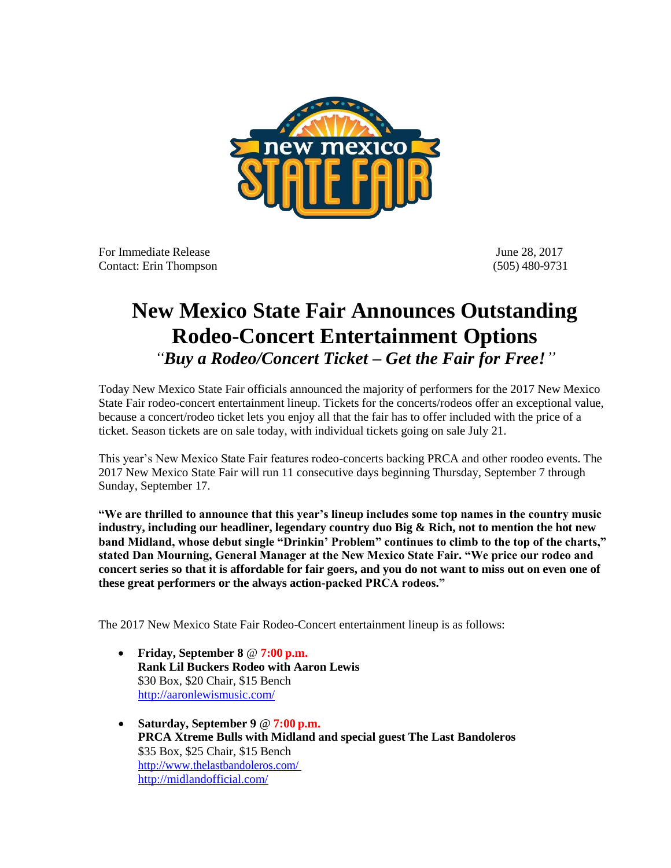

For Immediate Release June 28, 2017 Contact: Erin Thompson (505) 480-9731

## **New Mexico State Fair Announces Outstanding Rodeo-Concert Entertainment Options** *"Buy a Rodeo/Concert Ticket – Get the Fair for Free!"*

Today New Mexico State Fair officials announced the majority of performers for the 2017 New Mexico State Fair rodeo-concert entertainment lineup. Tickets for the concerts/rodeos offer an exceptional value, because a concert/rodeo ticket lets you enjoy all that the fair has to offer included with the price of a ticket. Season tickets are on sale today, with individual tickets going on sale July 21.

This year's New Mexico State Fair features rodeo-concerts backing PRCA and other roodeo events. The 2017 New Mexico State Fair will run 11 consecutive days beginning Thursday, September 7 through Sunday, September 17.

**"We are thrilled to announce that this year's lineup includes some top names in the country music industry, including our headliner, legendary country duo Big & Rich, not to mention the hot new band Midland, whose debut single "Drinkin' Problem" continues to climb to the top of the charts," stated Dan Mourning, General Manager at the New Mexico State Fair. "We price our rodeo and concert series so that it is affordable for fair goers, and you do not want to miss out on even one of these great performers or the always action-packed PRCA rodeos."**

The 2017 New Mexico State Fair Rodeo-Concert entertainment lineup is as follows:

- **Friday, September 8** @ **7:00 p.m. Rank Lil Buckers Rodeo with Aaron Lewis** \$30 Box, \$20 Chair, \$15 Bench <http://aaronlewismusic.com/>
- **Saturday, September 9** @ **7:00 p.m. PRCA Xtreme Bulls with Midland and special guest The Last Bandoleros** \$35 Box, \$25 Chair, \$15 Bench <http://www.thelastbandoleros.com/> <http://midlandofficial.com/>